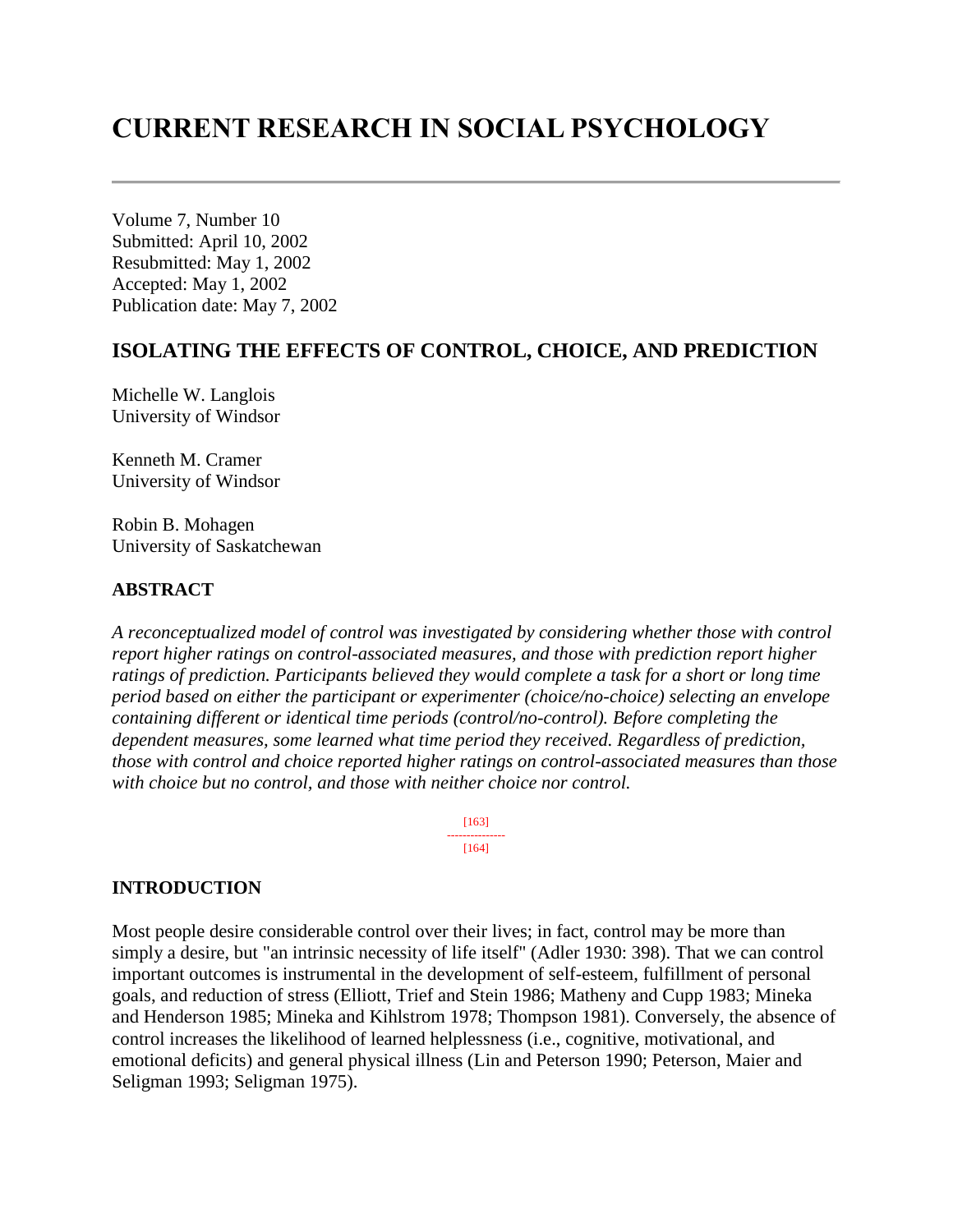# **CURRENT RESEARCH IN SOCIAL PSYCHOLOGY**

Volume 7, Number 10 Submitted: April 10, 2002 Resubmitted: May 1, 2002 Accepted: May 1, 2002 Publication date: May 7, 2002

# **ISOLATING THE EFFECTS OF CONTROL, CHOICE, AND PREDICTION**

Michelle W. Langlois University of Windsor

Kenneth M. Cramer University of Windsor

Robin B. Mohagen University of Saskatchewan

#### **ABSTRACT**

*A reconceptualized model of control was investigated by considering whether those with control report higher ratings on control-associated measures, and those with prediction report higher ratings of prediction. Participants believed they would complete a task for a short or long time period based on either the participant or experimenter (choice/no-choice) selecting an envelope containing different or identical time periods (control/no-control). Before completing the dependent measures, some learned what time period they received. Regardless of prediction, those with control and choice reported higher ratings on control-associated measures than those with choice but no control, and those with neither choice nor control.*

> [163] --------------- [164]

# **INTRODUCTION**

Most people desire considerable control over their lives; in fact, control may be more than simply a desire, but "an intrinsic necessity of life itself" (Adler 1930: 398). That we can control important outcomes is instrumental in the development of self-esteem, fulfillment of personal goals, and reduction of stress (Elliott, Trief and Stein 1986; Matheny and Cupp 1983; Mineka and Henderson 1985; Mineka and Kihlstrom 1978; Thompson 1981). Conversely, the absence of control increases the likelihood of learned helplessness (i.e., cognitive, motivational, and emotional deficits) and general physical illness (Lin and Peterson 1990; Peterson, Maier and Seligman 1993; Seligman 1975).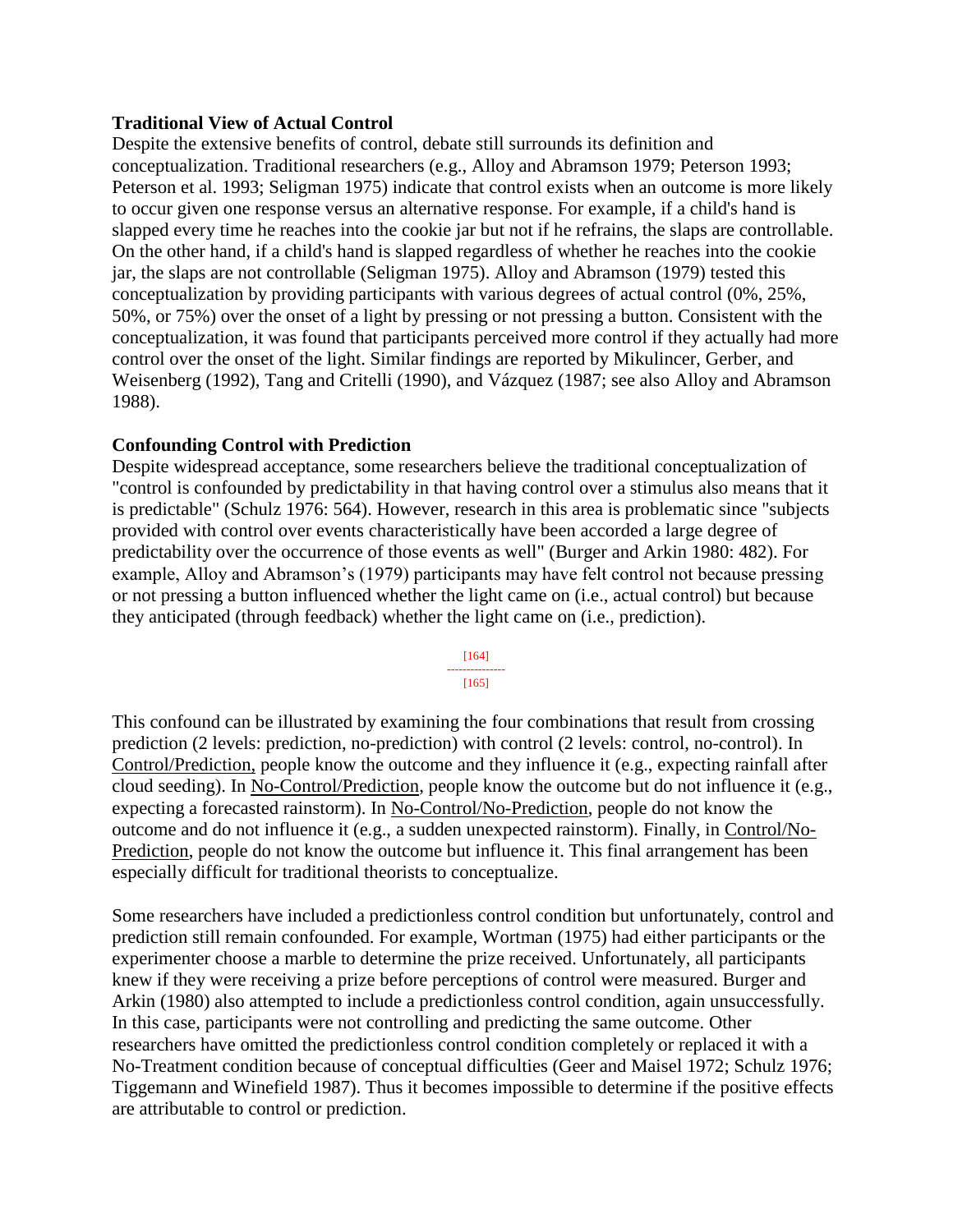### **Traditional View of Actual Control**

Despite the extensive benefits of control, debate still surrounds its definition and conceptualization. Traditional researchers (e.g., Alloy and Abramson 1979; Peterson 1993; Peterson et al. 1993; Seligman 1975) indicate that control exists when an outcome is more likely to occur given one response versus an alternative response. For example, if a child's hand is slapped every time he reaches into the cookie jar but not if he refrains, the slaps are controllable. On the other hand, if a child's hand is slapped regardless of whether he reaches into the cookie jar, the slaps are not controllable (Seligman 1975). Alloy and Abramson (1979) tested this conceptualization by providing participants with various degrees of actual control (0%, 25%, 50%, or 75%) over the onset of a light by pressing or not pressing a button. Consistent with the conceptualization, it was found that participants perceived more control if they actually had more control over the onset of the light. Similar findings are reported by Mikulincer, Gerber, and Weisenberg (1992), Tang and Critelli (1990), and Vázquez (1987; see also Alloy and Abramson 1988).

### **Confounding Control with Prediction**

Despite widespread acceptance, some researchers believe the traditional conceptualization of "control is confounded by predictability in that having control over a stimulus also means that it is predictable" (Schulz 1976: 564). However, research in this area is problematic since "subjects provided with control over events characteristically have been accorded a large degree of predictability over the occurrence of those events as well" (Burger and Arkin 1980: 482). For example, Alloy and Abramson's (1979) participants may have felt control not because pressing or not pressing a button influenced whether the light came on (i.e., actual control) but because they anticipated (through feedback) whether the light came on (i.e., prediction).

> [164] --------------- [165]

This confound can be illustrated by examining the four combinations that result from crossing prediction (2 levels: prediction, no-prediction) with control (2 levels: control, no-control). In Control/Prediction, people know the outcome and they influence it (e.g., expecting rainfall after cloud seeding). In No-Control/Prediction, people know the outcome but do not influence it (e.g., expecting a forecasted rainstorm). In No-Control/No-Prediction, people do not know the outcome and do not influence it (e.g., a sudden unexpected rainstorm). Finally, in Control/No-Prediction, people do not know the outcome but influence it. This final arrangement has been especially difficult for traditional theorists to conceptualize.

Some researchers have included a predictionless control condition but unfortunately, control and prediction still remain confounded. For example, Wortman (1975) had either participants or the experimenter choose a marble to determine the prize received. Unfortunately, all participants knew if they were receiving a prize before perceptions of control were measured. Burger and Arkin (1980) also attempted to include a predictionless control condition, again unsuccessfully. In this case, participants were not controlling and predicting the same outcome. Other researchers have omitted the predictionless control condition completely or replaced it with a No-Treatment condition because of conceptual difficulties (Geer and Maisel 1972; Schulz 1976; Tiggemann and Winefield 1987). Thus it becomes impossible to determine if the positive effects are attributable to control or prediction.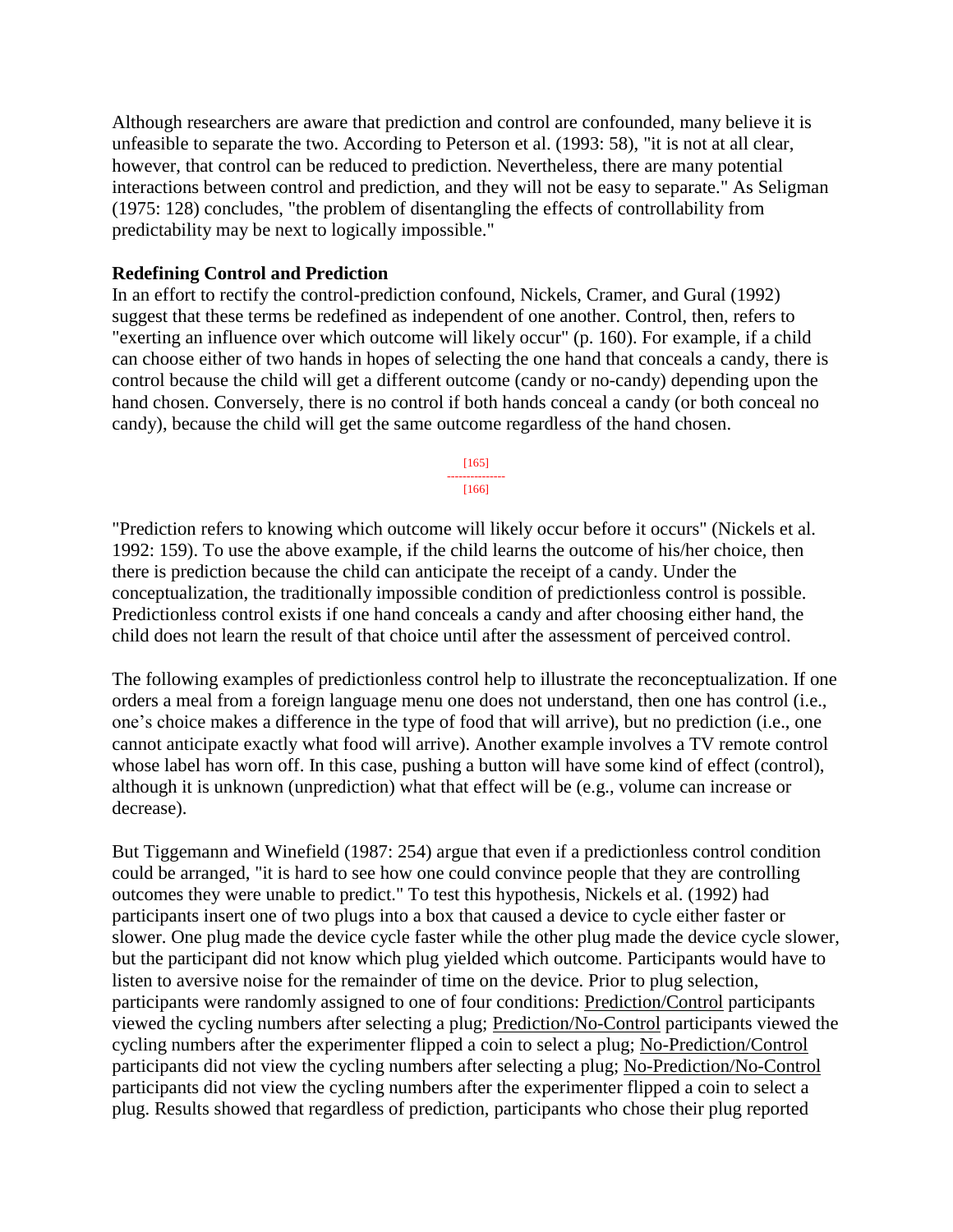Although researchers are aware that prediction and control are confounded, many believe it is unfeasible to separate the two. According to Peterson et al. (1993: 58), "it is not at all clear, however, that control can be reduced to prediction. Nevertheless, there are many potential interactions between control and prediction, and they will not be easy to separate." As Seligman (1975: 128) concludes, "the problem of disentangling the effects of controllability from predictability may be next to logically impossible."

### **Redefining Control and Prediction**

In an effort to rectify the control-prediction confound, Nickels, Cramer, and Gural (1992) suggest that these terms be redefined as independent of one another. Control, then, refers to "exerting an influence over which outcome will likely occur" (p. 160). For example, if a child can choose either of two hands in hopes of selecting the one hand that conceals a candy, there is control because the child will get a different outcome (candy or no-candy) depending upon the hand chosen. Conversely, there is no control if both hands conceal a candy (or both conceal no candy), because the child will get the same outcome regardless of the hand chosen.



"Prediction refers to knowing which outcome will likely occur before it occurs" (Nickels et al. 1992: 159). To use the above example, if the child learns the outcome of his/her choice, then there is prediction because the child can anticipate the receipt of a candy. Under the conceptualization, the traditionally impossible condition of predictionless control is possible. Predictionless control exists if one hand conceals a candy and after choosing either hand, the child does not learn the result of that choice until after the assessment of perceived control.

The following examples of predictionless control help to illustrate the reconceptualization. If one orders a meal from a foreign language menu one does not understand, then one has control (i.e., one's choice makes a difference in the type of food that will arrive), but no prediction (i.e., one cannot anticipate exactly what food will arrive). Another example involves a TV remote control whose label has worn off. In this case, pushing a button will have some kind of effect (control), although it is unknown (unprediction) what that effect will be (e.g., volume can increase or decrease).

But Tiggemann and Winefield (1987: 254) argue that even if a predictionless control condition could be arranged, "it is hard to see how one could convince people that they are controlling outcomes they were unable to predict." To test this hypothesis, Nickels et al. (1992) had participants insert one of two plugs into a box that caused a device to cycle either faster or slower. One plug made the device cycle faster while the other plug made the device cycle slower, but the participant did not know which plug yielded which outcome. Participants would have to listen to aversive noise for the remainder of time on the device. Prior to plug selection, participants were randomly assigned to one of four conditions: Prediction/Control participants viewed the cycling numbers after selecting a plug; Prediction/No-Control participants viewed the cycling numbers after the experimenter flipped a coin to select a plug; No-Prediction/Control participants did not view the cycling numbers after selecting a plug; No-Prediction/No-Control participants did not view the cycling numbers after the experimenter flipped a coin to select a plug. Results showed that regardless of prediction, participants who chose their plug reported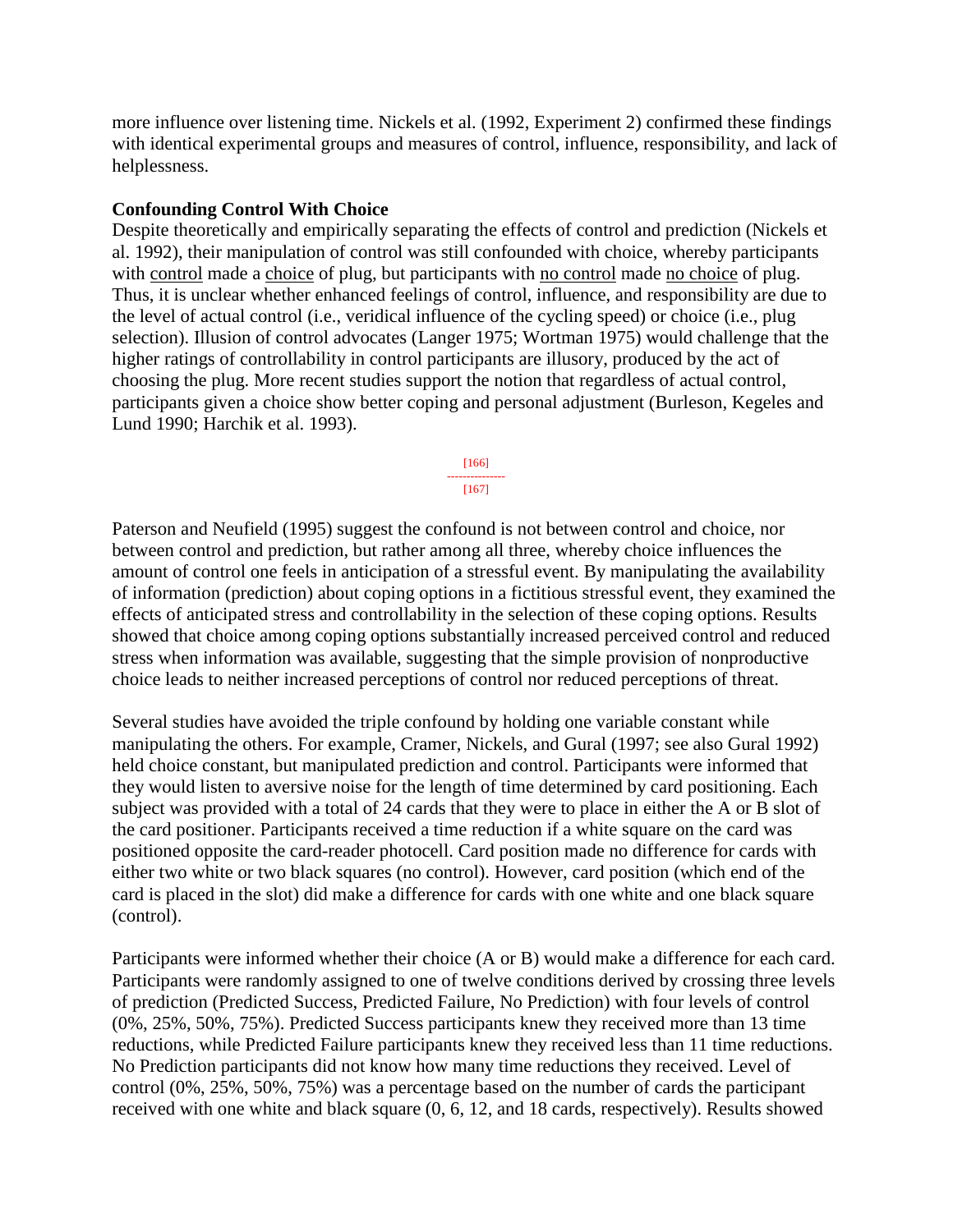more influence over listening time. Nickels et al. (1992, Experiment 2) confirmed these findings with identical experimental groups and measures of control, influence, responsibility, and lack of helplessness.

## **Confounding Control With Choice**

Despite theoretically and empirically separating the effects of control and prediction (Nickels et al. 1992), their manipulation of control was still confounded with choice, whereby participants with control made a choice of plug, but participants with no control made no choice of plug. Thus, it is unclear whether enhanced feelings of control, influence, and responsibility are due to the level of actual control (i.e., veridical influence of the cycling speed) or choice (i.e., plug selection). Illusion of control advocates (Langer 1975; Wortman 1975) would challenge that the higher ratings of controllability in control participants are illusory, produced by the act of choosing the plug. More recent studies support the notion that regardless of actual control, participants given a choice show better coping and personal adjustment (Burleson, Kegeles and Lund 1990; Harchik et al. 1993).



Paterson and Neufield (1995) suggest the confound is not between control and choice, nor between control and prediction, but rather among all three, whereby choice influences the amount of control one feels in anticipation of a stressful event. By manipulating the availability of information (prediction) about coping options in a fictitious stressful event, they examined the effects of anticipated stress and controllability in the selection of these coping options. Results showed that choice among coping options substantially increased perceived control and reduced stress when information was available, suggesting that the simple provision of nonproductive choice leads to neither increased perceptions of control nor reduced perceptions of threat.

Several studies have avoided the triple confound by holding one variable constant while manipulating the others. For example, Cramer, Nickels, and Gural (1997; see also Gural 1992) held choice constant, but manipulated prediction and control. Participants were informed that they would listen to aversive noise for the length of time determined by card positioning. Each subject was provided with a total of 24 cards that they were to place in either the A or B slot of the card positioner. Participants received a time reduction if a white square on the card was positioned opposite the card-reader photocell. Card position made no difference for cards with either two white or two black squares (no control). However, card position (which end of the card is placed in the slot) did make a difference for cards with one white and one black square (control).

Participants were informed whether their choice (A or B) would make a difference for each card. Participants were randomly assigned to one of twelve conditions derived by crossing three levels of prediction (Predicted Success, Predicted Failure, No Prediction) with four levels of control (0%, 25%, 50%, 75%). Predicted Success participants knew they received more than 13 time reductions, while Predicted Failure participants knew they received less than 11 time reductions. No Prediction participants did not know how many time reductions they received. Level of control (0%, 25%, 50%, 75%) was a percentage based on the number of cards the participant received with one white and black square (0, 6, 12, and 18 cards, respectively). Results showed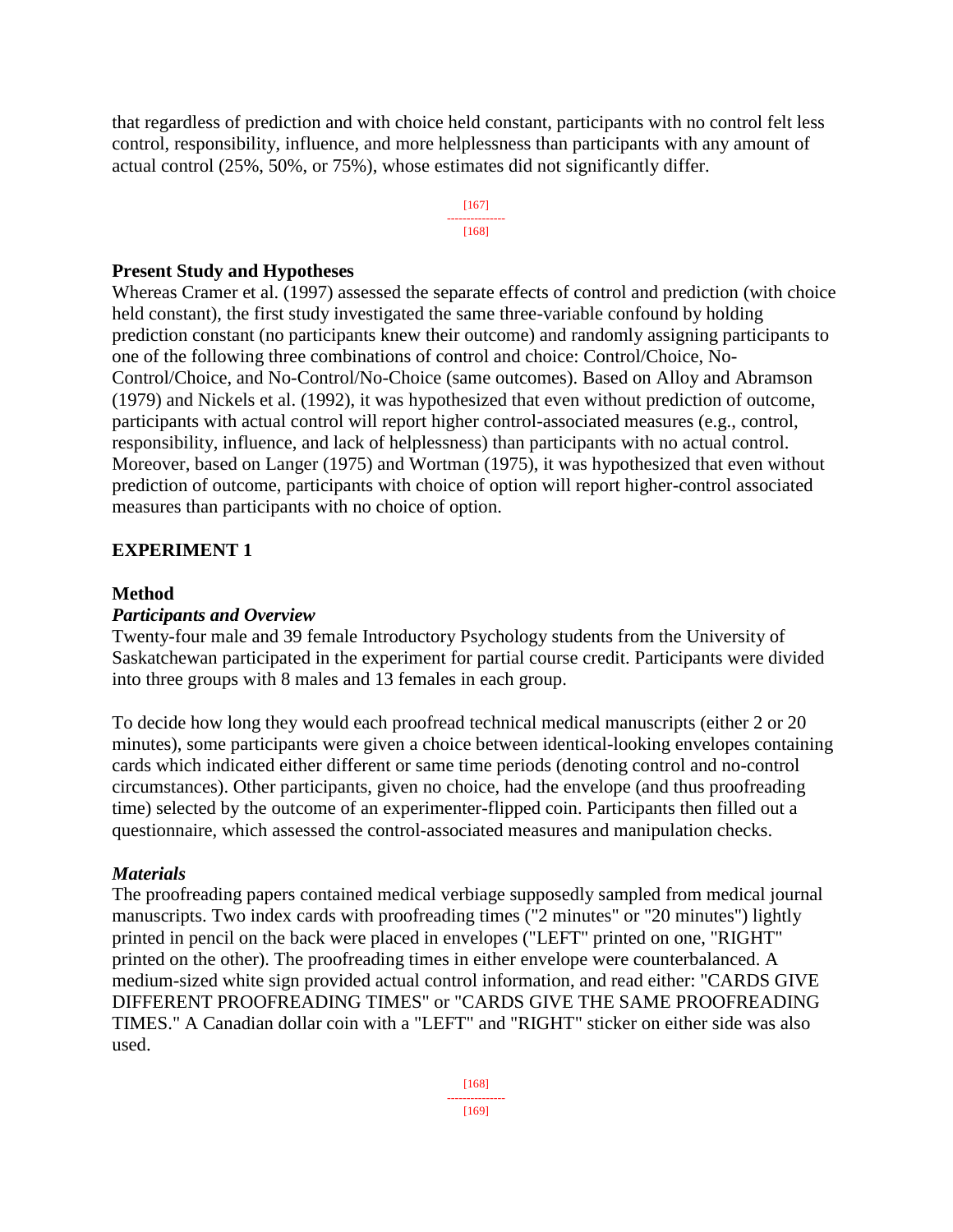that regardless of prediction and with choice held constant, participants with no control felt less control, responsibility, influence, and more helplessness than participants with any amount of actual control (25%, 50%, or 75%), whose estimates did not significantly differ.



### **Present Study and Hypotheses**

Whereas Cramer et al. (1997) assessed the separate effects of control and prediction (with choice held constant), the first study investigated the same three-variable confound by holding prediction constant (no participants knew their outcome) and randomly assigning participants to one of the following three combinations of control and choice: Control/Choice, No-Control/Choice, and No-Control/No-Choice (same outcomes). Based on Alloy and Abramson (1979) and Nickels et al. (1992), it was hypothesized that even without prediction of outcome, participants with actual control will report higher control-associated measures (e.g., control, responsibility, influence, and lack of helplessness) than participants with no actual control. Moreover, based on Langer (1975) and Wortman (1975), it was hypothesized that even without prediction of outcome, participants with choice of option will report higher-control associated measures than participants with no choice of option.

### **EXPERIMENT 1**

#### **Method**

#### *Participants and Overview*

Twenty-four male and 39 female Introductory Psychology students from the University of Saskatchewan participated in the experiment for partial course credit. Participants were divided into three groups with 8 males and 13 females in each group.

To decide how long they would each proofread technical medical manuscripts (either 2 or 20 minutes), some participants were given a choice between identical-looking envelopes containing cards which indicated either different or same time periods (denoting control and no-control circumstances). Other participants, given no choice, had the envelope (and thus proofreading time) selected by the outcome of an experimenter-flipped coin. Participants then filled out a questionnaire, which assessed the control-associated measures and manipulation checks.

#### *Materials*

The proofreading papers contained medical verbiage supposedly sampled from medical journal manuscripts. Two index cards with proofreading times ("2 minutes" or "20 minutes") lightly printed in pencil on the back were placed in envelopes ("LEFT" printed on one, "RIGHT" printed on the other). The proofreading times in either envelope were counterbalanced. A medium-sized white sign provided actual control information, and read either: "CARDS GIVE DIFFERENT PROOFREADING TIMES" or "CARDS GIVE THE SAME PROOFREADING TIMES." A Canadian dollar coin with a "LEFT" and "RIGHT" sticker on either side was also used.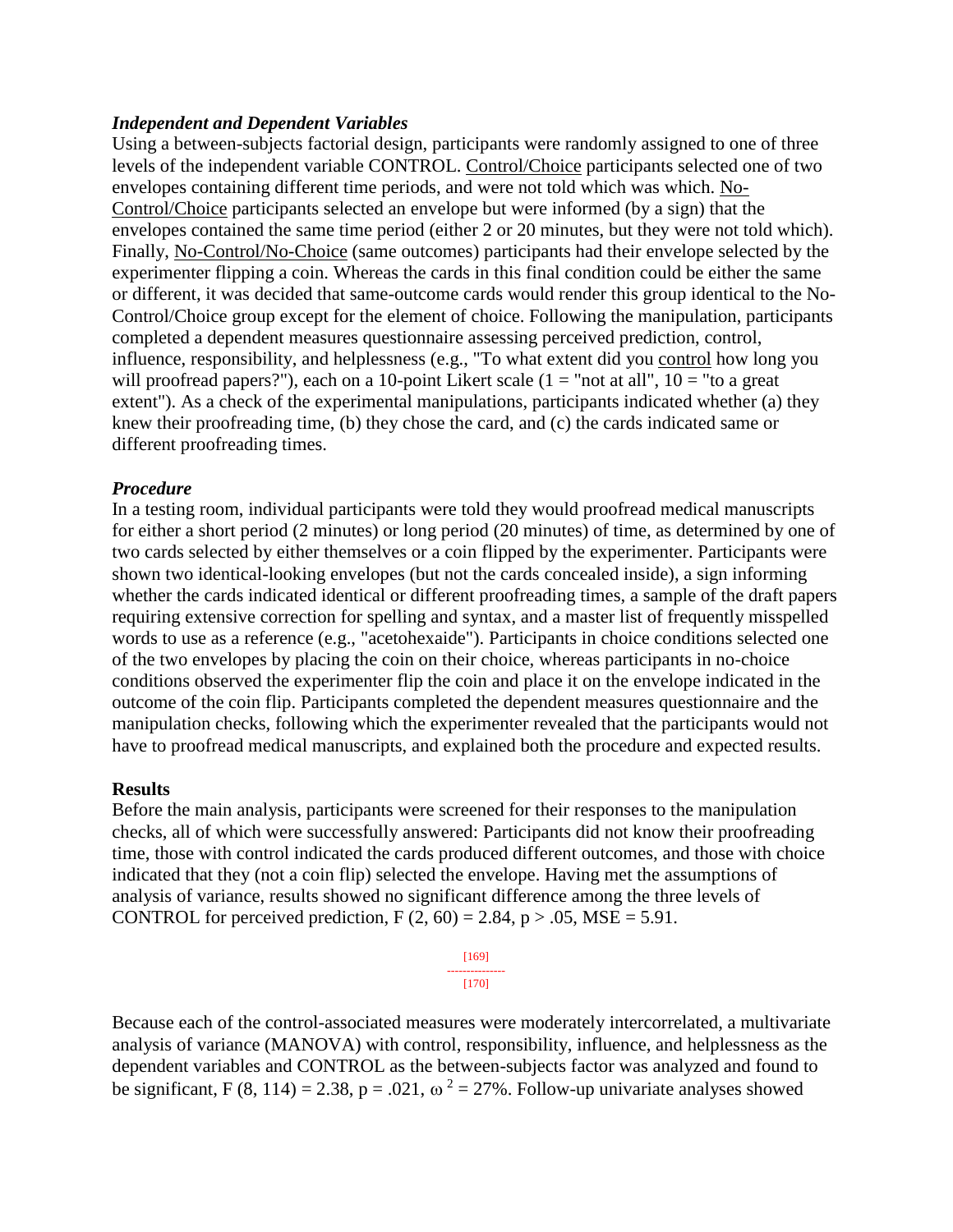#### *Independent and Dependent Variables*

Using a between-subjects factorial design, participants were randomly assigned to one of three levels of the independent variable CONTROL. Control/Choice participants selected one of two envelopes containing different time periods, and were not told which was which. No-Control/Choice participants selected an envelope but were informed (by a sign) that the envelopes contained the same time period (either 2 or 20 minutes, but they were not told which). Finally, No-Control/No-Choice (same outcomes) participants had their envelope selected by the experimenter flipping a coin. Whereas the cards in this final condition could be either the same or different, it was decided that same-outcome cards would render this group identical to the No-Control/Choice group except for the element of choice. Following the manipulation, participants completed a dependent measures questionnaire assessing perceived prediction, control, influence, responsibility, and helplessness (e.g., "To what extent did you control how long you will proofread papers?"), each on a 10-point Likert scale  $(1 = "not at all", 10 = "to a great$ extent"). As a check of the experimental manipulations, participants indicated whether (a) they knew their proofreading time, (b) they chose the card, and (c) the cards indicated same or different proofreading times.

#### *Procedure*

In a testing room, individual participants were told they would proofread medical manuscripts for either a short period (2 minutes) or long period (20 minutes) of time, as determined by one of two cards selected by either themselves or a coin flipped by the experimenter. Participants were shown two identical-looking envelopes (but not the cards concealed inside), a sign informing whether the cards indicated identical or different proofreading times, a sample of the draft papers requiring extensive correction for spelling and syntax, and a master list of frequently misspelled words to use as a reference (e.g., "acetohexaide"). Participants in choice conditions selected one of the two envelopes by placing the coin on their choice, whereas participants in no-choice conditions observed the experimenter flip the coin and place it on the envelope indicated in the outcome of the coin flip. Participants completed the dependent measures questionnaire and the manipulation checks, following which the experimenter revealed that the participants would not have to proofread medical manuscripts, and explained both the procedure and expected results.

#### **Results**

Before the main analysis, participants were screened for their responses to the manipulation checks, all of which were successfully answered: Participants did not know their proofreading time, those with control indicated the cards produced different outcomes, and those with choice indicated that they (not a coin flip) selected the envelope. Having met the assumptions of analysis of variance, results showed no significant difference among the three levels of CONTROL for perceived prediction,  $F(2, 60) = 2.84$ ,  $p > .05$ , MSE = 5.91.

| 4<br>п<br>ı<br>u |  |
|------------------|--|
| -7               |  |

Because each of the control-associated measures were moderately intercorrelated, a multivariate analysis of variance (MANOVA) with control, responsibility, influence, and helplessness as the dependent variables and CONTROL as the between-subjects factor was analyzed and found to be significant, F (8, 114) = 2.38, p = .021,  $\omega^2 = 27\%$ . Follow-up univariate analyses showed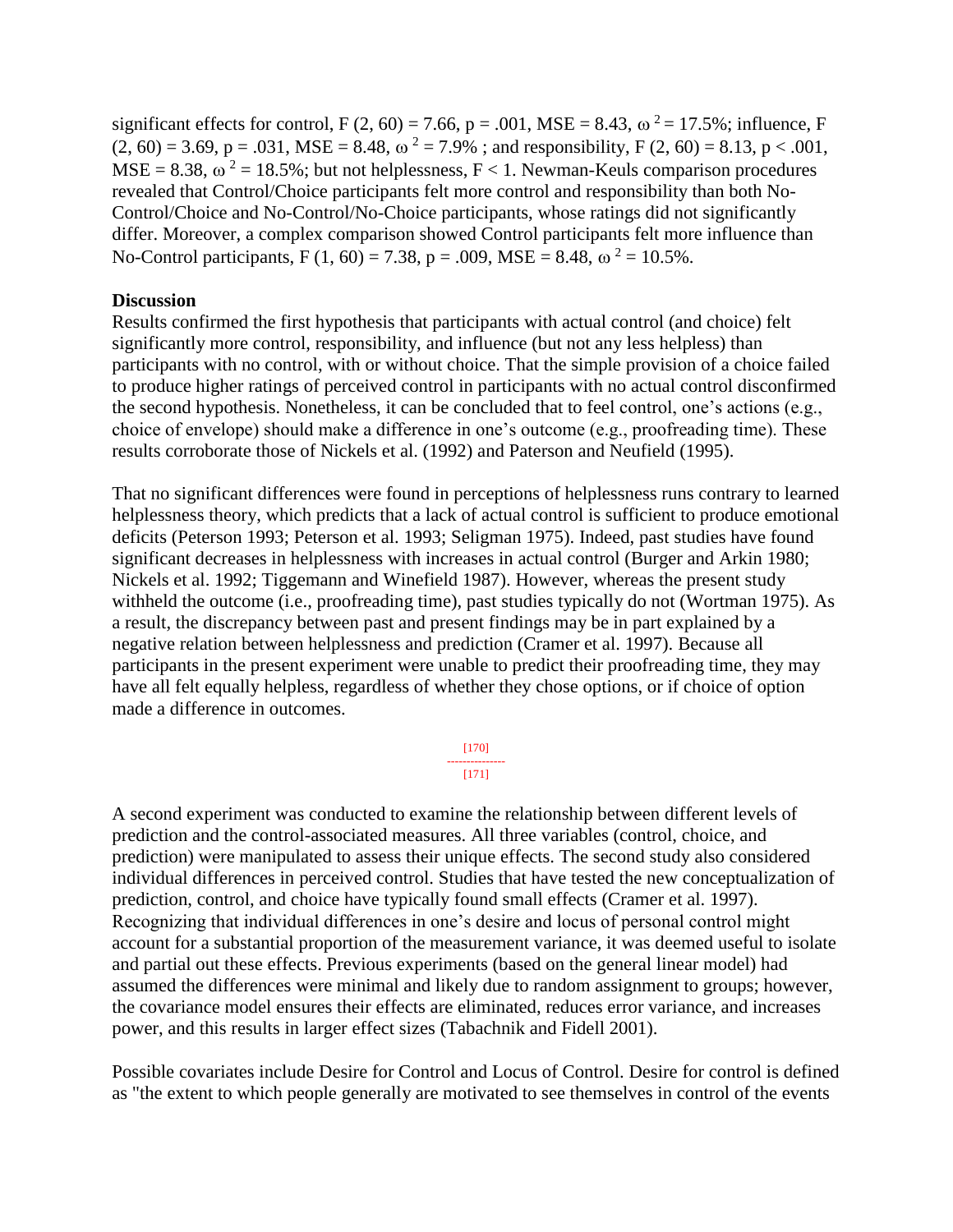significant effects for control, F (2, 60) = 7.66, p = .001, MSE = 8.43,  $\omega^2$  = 17.5%; influence, F  $(2, 60) = 3.69$ , p = .031, MSE = 8.48,  $\omega^2 = 7.9\%$ ; and responsibility, F (2, 60) = 8.13, p < .001,  $MSE = 8.38$ ,  $\omega^2 = 18.5\%$ ; but not helplessness, F < 1. Newman-Keuls comparison procedures revealed that Control/Choice participants felt more control and responsibility than both No-Control/Choice and No-Control/No-Choice participants, whose ratings did not significantly differ. Moreover, a complex comparison showed Control participants felt more influence than No-Control participants, F (1, 60) = 7.38, p = .009, MSE = 8.48,  $\omega^2$  = 10.5%.

#### **Discussion**

Results confirmed the first hypothesis that participants with actual control (and choice) felt significantly more control, responsibility, and influence (but not any less helpless) than participants with no control, with or without choice. That the simple provision of a choice failed to produce higher ratings of perceived control in participants with no actual control disconfirmed the second hypothesis. Nonetheless, it can be concluded that to feel control, one's actions (e.g., choice of envelope) should make a difference in one's outcome (e.g., proofreading time). These results corroborate those of Nickels et al. (1992) and Paterson and Neufield (1995).

That no significant differences were found in perceptions of helplessness runs contrary to learned helplessness theory, which predicts that a lack of actual control is sufficient to produce emotional deficits (Peterson 1993; Peterson et al. 1993; Seligman 1975). Indeed, past studies have found significant decreases in helplessness with increases in actual control (Burger and Arkin 1980; Nickels et al. 1992; Tiggemann and Winefield 1987). However, whereas the present study withheld the outcome (i.e., proofreading time), past studies typically do not (Wortman 1975). As a result, the discrepancy between past and present findings may be in part explained by a negative relation between helplessness and prediction (Cramer et al. 1997). Because all participants in the present experiment were unable to predict their proofreading time, they may have all felt equally helpless, regardless of whether they chose options, or if choice of option made a difference in outcomes.

> [170] --------------- [171]

A second experiment was conducted to examine the relationship between different levels of prediction and the control-associated measures. All three variables (control, choice, and prediction) were manipulated to assess their unique effects. The second study also considered individual differences in perceived control. Studies that have tested the new conceptualization of prediction, control, and choice have typically found small effects (Cramer et al. 1997). Recognizing that individual differences in one's desire and locus of personal control might account for a substantial proportion of the measurement variance, it was deemed useful to isolate and partial out these effects. Previous experiments (based on the general linear model) had assumed the differences were minimal and likely due to random assignment to groups; however, the covariance model ensures their effects are eliminated, reduces error variance, and increases power, and this results in larger effect sizes (Tabachnik and Fidell 2001).

Possible covariates include Desire for Control and Locus of Control. Desire for control is defined as "the extent to which people generally are motivated to see themselves in control of the events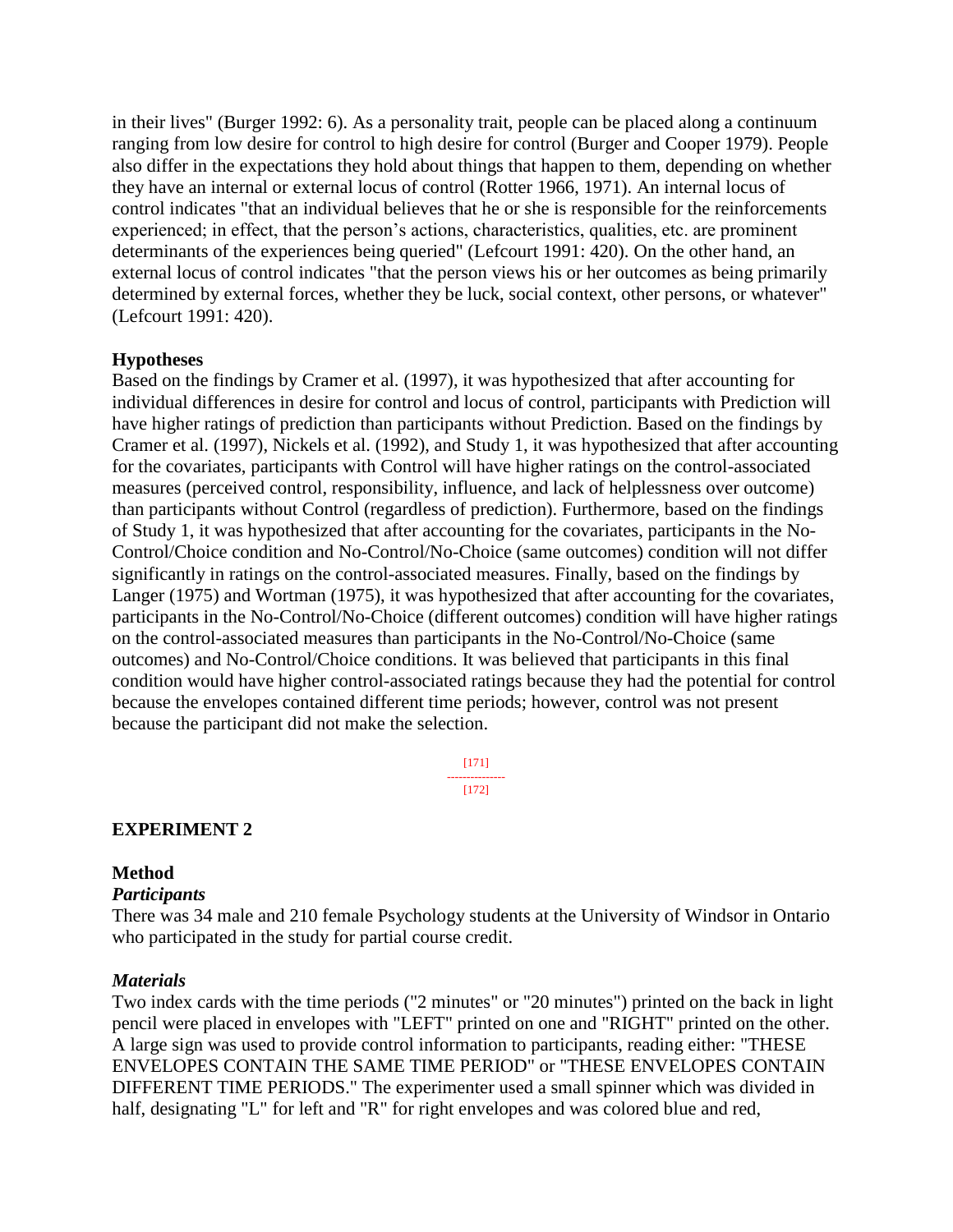in their lives" (Burger 1992: 6). As a personality trait, people can be placed along a continuum ranging from low desire for control to high desire for control (Burger and Cooper 1979). People also differ in the expectations they hold about things that happen to them, depending on whether they have an internal or external locus of control (Rotter 1966, 1971). An internal locus of control indicates "that an individual believes that he or she is responsible for the reinforcements experienced; in effect, that the person's actions, characteristics, qualities, etc. are prominent determinants of the experiences being queried" (Lefcourt 1991: 420). On the other hand, an external locus of control indicates "that the person views his or her outcomes as being primarily determined by external forces, whether they be luck, social context, other persons, or whatever" (Lefcourt 1991: 420).

### **Hypotheses**

Based on the findings by Cramer et al. (1997), it was hypothesized that after accounting for individual differences in desire for control and locus of control, participants with Prediction will have higher ratings of prediction than participants without Prediction. Based on the findings by Cramer et al. (1997), Nickels et al. (1992), and Study 1, it was hypothesized that after accounting for the covariates, participants with Control will have higher ratings on the control-associated measures (perceived control, responsibility, influence, and lack of helplessness over outcome) than participants without Control (regardless of prediction). Furthermore, based on the findings of Study 1, it was hypothesized that after accounting for the covariates, participants in the No-Control/Choice condition and No-Control/No-Choice (same outcomes) condition will not differ significantly in ratings on the control-associated measures. Finally, based on the findings by Langer (1975) and Wortman (1975), it was hypothesized that after accounting for the covariates, participants in the No-Control/No-Choice (different outcomes) condition will have higher ratings on the control-associated measures than participants in the No-Control/No-Choice (same outcomes) and No-Control/Choice conditions. It was believed that participants in this final condition would have higher control-associated ratings because they had the potential for control because the envelopes contained different time periods; however, control was not present because the participant did not make the selection.

> [171] --------------- [172]

# **EXPERIMENT 2**

### **Method**

# *Participants*

There was 34 male and 210 female Psychology students at the University of Windsor in Ontario who participated in the study for partial course credit.

#### *Materials*

Two index cards with the time periods ("2 minutes" or "20 minutes") printed on the back in light pencil were placed in envelopes with "LEFT" printed on one and "RIGHT" printed on the other. A large sign was used to provide control information to participants, reading either: "THESE ENVELOPES CONTAIN THE SAME TIME PERIOD" or "THESE ENVELOPES CONTAIN DIFFERENT TIME PERIODS." The experimenter used a small spinner which was divided in half, designating "L" for left and "R" for right envelopes and was colored blue and red,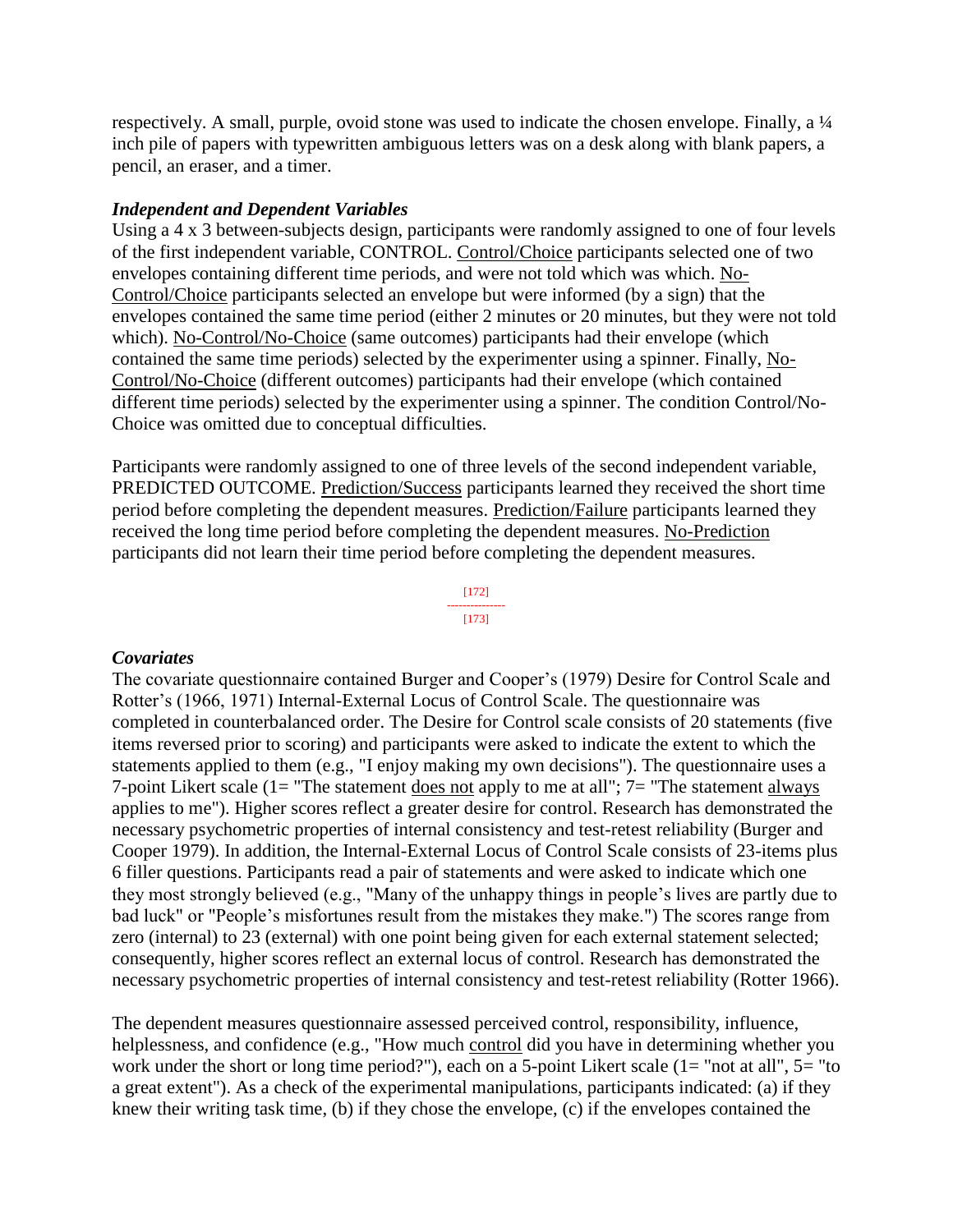respectively. A small, purple, ovoid stone was used to indicate the chosen envelope. Finally, a ¼ inch pile of papers with typewritten ambiguous letters was on a desk along with blank papers, a pencil, an eraser, and a timer.

#### *Independent and Dependent Variables*

Using a 4 x 3 between-subjects design, participants were randomly assigned to one of four levels of the first independent variable, CONTROL. Control/Choice participants selected one of two envelopes containing different time periods, and were not told which was which. No-Control/Choice participants selected an envelope but were informed (by a sign) that the envelopes contained the same time period (either 2 minutes or 20 minutes, but they were not told which). No-Control/No-Choice (same outcomes) participants had their envelope (which contained the same time periods) selected by the experimenter using a spinner. Finally, No-Control/No-Choice (different outcomes) participants had their envelope (which contained different time periods) selected by the experimenter using a spinner. The condition Control/No-Choice was omitted due to conceptual difficulties.

Participants were randomly assigned to one of three levels of the second independent variable, PREDICTED OUTCOME. Prediction/Success participants learned they received the short time period before completing the dependent measures. Prediction/Failure participants learned they received the long time period before completing the dependent measures. No-Prediction participants did not learn their time period before completing the dependent measures.



#### *Covariates*

The covariate questionnaire contained Burger and Cooper's (1979) Desire for Control Scale and Rotter's (1966, 1971) Internal-External Locus of Control Scale. The questionnaire was completed in counterbalanced order. The Desire for Control scale consists of 20 statements (five items reversed prior to scoring) and participants were asked to indicate the extent to which the statements applied to them (e.g., "I enjoy making my own decisions"). The questionnaire uses a 7-point Likert scale ( $1 =$  "The statement does not apply to me at all";  $7 =$  "The statement always applies to me"). Higher scores reflect a greater desire for control. Research has demonstrated the necessary psychometric properties of internal consistency and test-retest reliability (Burger and Cooper 1979). In addition, the Internal-External Locus of Control Scale consists of 23-items plus 6 filler questions. Participants read a pair of statements and were asked to indicate which one they most strongly believed (e.g., "Many of the unhappy things in people's lives are partly due to bad luck" or "People's misfortunes result from the mistakes they make.") The scores range from zero (internal) to 23 (external) with one point being given for each external statement selected; consequently, higher scores reflect an external locus of control. Research has demonstrated the necessary psychometric properties of internal consistency and test-retest reliability (Rotter 1966).

The dependent measures questionnaire assessed perceived control, responsibility, influence, helplessness, and confidence (e.g., "How much control did you have in determining whether you work under the short or long time period?"), each on a 5-point Likert scale (1= "not at all", 5= "to a great extent"). As a check of the experimental manipulations, participants indicated: (a) if they knew their writing task time, (b) if they chose the envelope, (c) if the envelopes contained the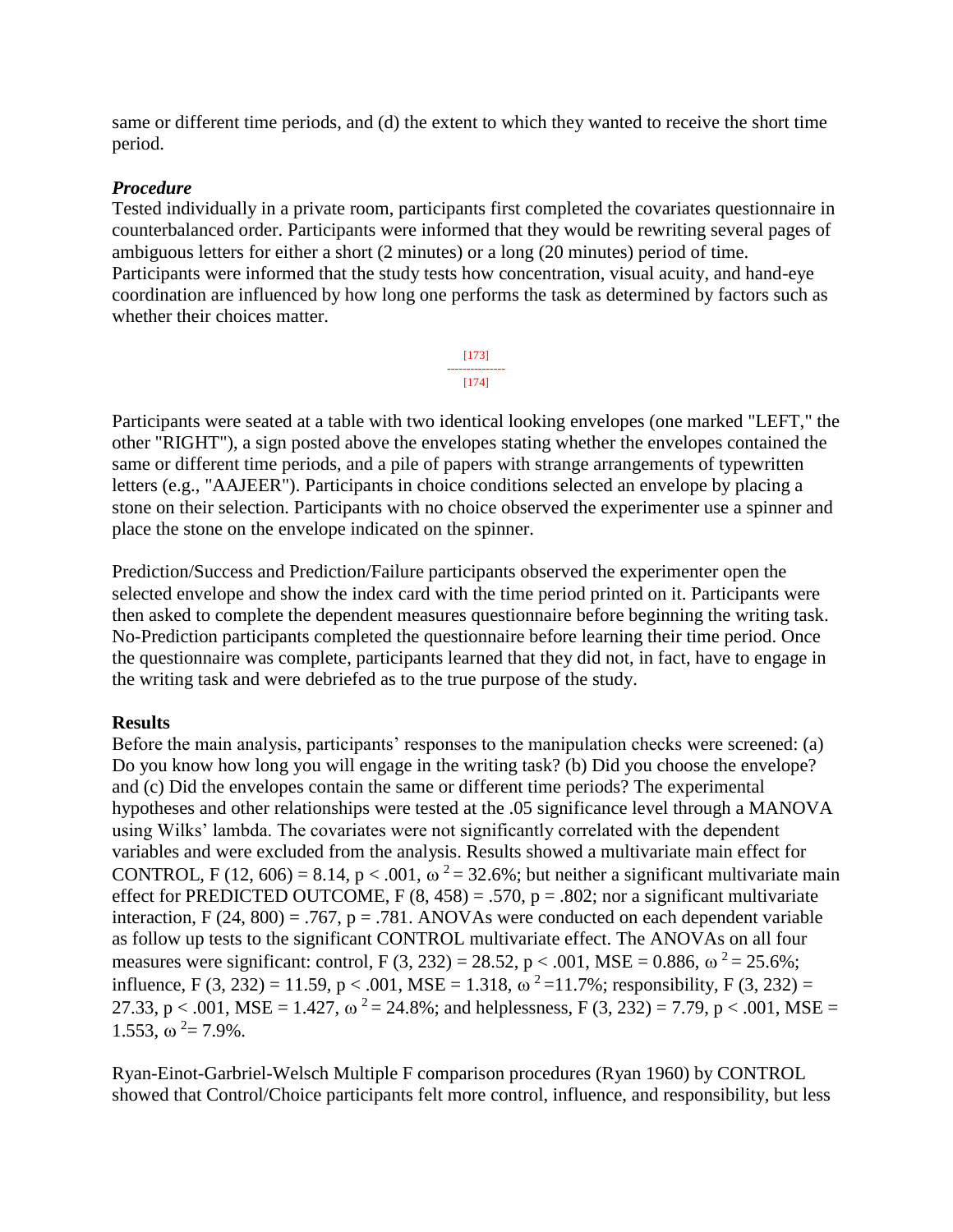same or different time periods, and (d) the extent to which they wanted to receive the short time period.

# *Procedure*

Tested individually in a private room, participants first completed the covariates questionnaire in counterbalanced order. Participants were informed that they would be rewriting several pages of ambiguous letters for either a short (2 minutes) or a long (20 minutes) period of time. Participants were informed that the study tests how concentration, visual acuity, and hand-eye coordination are influenced by how long one performs the task as determined by factors such as whether their choices matter.

> [173] --------------- [174]

Participants were seated at a table with two identical looking envelopes (one marked "LEFT," the other "RIGHT"), a sign posted above the envelopes stating whether the envelopes contained the same or different time periods, and a pile of papers with strange arrangements of typewritten letters (e.g., "AAJEER"). Participants in choice conditions selected an envelope by placing a stone on their selection. Participants with no choice observed the experimenter use a spinner and place the stone on the envelope indicated on the spinner.

Prediction/Success and Prediction/Failure participants observed the experimenter open the selected envelope and show the index card with the time period printed on it. Participants were then asked to complete the dependent measures questionnaire before beginning the writing task. No-Prediction participants completed the questionnaire before learning their time period. Once the questionnaire was complete, participants learned that they did not, in fact, have to engage in the writing task and were debriefed as to the true purpose of the study.

### **Results**

Before the main analysis, participants' responses to the manipulation checks were screened: (a) Do you know how long you will engage in the writing task? (b) Did you choose the envelope? and (c) Did the envelopes contain the same or different time periods? The experimental hypotheses and other relationships were tested at the .05 significance level through a MANOVA using Wilks' lambda. The covariates were not significantly correlated with the dependent variables and were excluded from the analysis. Results showed a multivariate main effect for CONTROL, F (12, 606) = 8.14, p < .001,  $\omega^2$  = 32.6%; but neither a significant multivariate main effect for PREDICTED OUTCOME, F  $(8, 458) = .570$ , p = .802; nor a significant multivariate interaction, F  $(24, 800) = .767$ , p = .781. ANOVAs were conducted on each dependent variable as follow up tests to the significant CONTROL multivariate effect. The ANOVAs on all four measures were significant: control, F (3, 232) = 28.52, p < .001, MSE = 0.886,  $\omega^2$  = 25.6%; influence, F (3, 232) = 11.59, p < .001, MSE = 1.318,  $\omega^2$  = 11.7%; responsibility, F (3, 232) = 27.33, p < .001, MSE = 1.427,  $\omega^2 = 24.8\%$ ; and helplessness, F (3, 232) = 7.79, p < .001, MSE = 1.553,  $\omega^2 = 7.9\%$ .

Ryan-Einot-Garbriel-Welsch Multiple F comparison procedures (Ryan 1960) by CONTROL showed that Control/Choice participants felt more control, influence, and responsibility, but less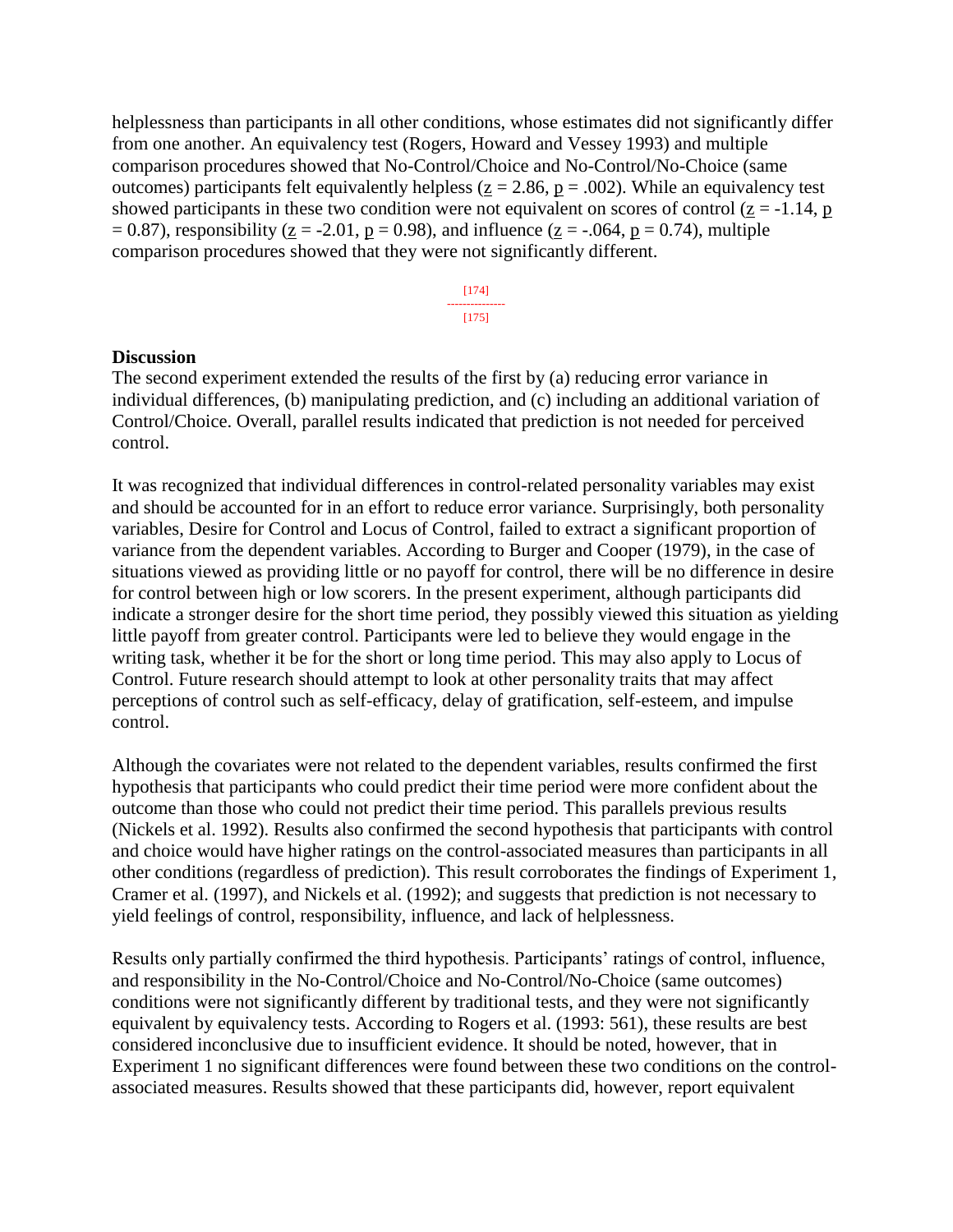helplessness than participants in all other conditions, whose estimates did not significantly differ from one another. An equivalency test (Rogers, Howard and Vessey 1993) and multiple comparison procedures showed that No-Control/Choice and No-Control/No-Choice (same outcomes) participants felt equivalently helpless ( $z = 2.86$ ,  $p = .002$ ). While an equivalency test showed participants in these two condition were not equivalent on scores of control ( $z = -1.14$ , p  $= 0.87$ ), responsibility (z = -2.01, p = 0.98), and influence (z = -.064, p = 0.74), multiple comparison procedures showed that they were not significantly different.

> [174] --------------- [175]

#### **Discussion**

The second experiment extended the results of the first by (a) reducing error variance in individual differences, (b) manipulating prediction, and (c) including an additional variation of Control/Choice. Overall, parallel results indicated that prediction is not needed for perceived control.

It was recognized that individual differences in control-related personality variables may exist and should be accounted for in an effort to reduce error variance. Surprisingly, both personality variables, Desire for Control and Locus of Control, failed to extract a significant proportion of variance from the dependent variables. According to Burger and Cooper (1979), in the case of situations viewed as providing little or no payoff for control, there will be no difference in desire for control between high or low scorers. In the present experiment, although participants did indicate a stronger desire for the short time period, they possibly viewed this situation as yielding little payoff from greater control. Participants were led to believe they would engage in the writing task, whether it be for the short or long time period. This may also apply to Locus of Control. Future research should attempt to look at other personality traits that may affect perceptions of control such as self-efficacy, delay of gratification, self-esteem, and impulse control.

Although the covariates were not related to the dependent variables, results confirmed the first hypothesis that participants who could predict their time period were more confident about the outcome than those who could not predict their time period. This parallels previous results (Nickels et al. 1992). Results also confirmed the second hypothesis that participants with control and choice would have higher ratings on the control-associated measures than participants in all other conditions (regardless of prediction). This result corroborates the findings of Experiment 1, Cramer et al. (1997), and Nickels et al. (1992); and suggests that prediction is not necessary to yield feelings of control, responsibility, influence, and lack of helplessness.

Results only partially confirmed the third hypothesis. Participants' ratings of control, influence, and responsibility in the No-Control/Choice and No-Control/No-Choice (same outcomes) conditions were not significantly different by traditional tests, and they were not significantly equivalent by equivalency tests. According to Rogers et al. (1993: 561), these results are best considered inconclusive due to insufficient evidence. It should be noted, however, that in Experiment 1 no significant differences were found between these two conditions on the controlassociated measures. Results showed that these participants did, however, report equivalent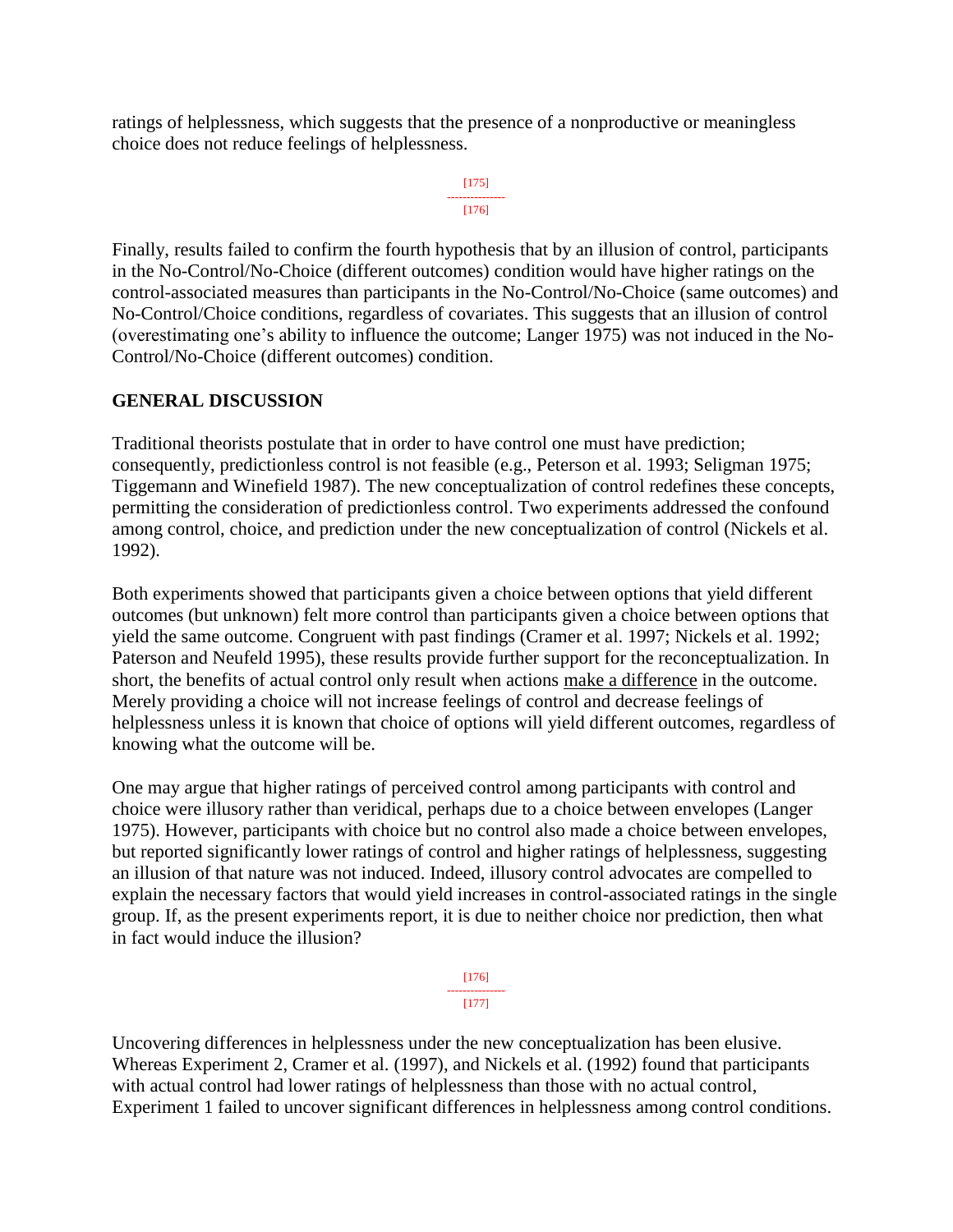ratings of helplessness, which suggests that the presence of a nonproductive or meaningless choice does not reduce feelings of helplessness.

```
[175]
---------------
   [176]
```
Finally, results failed to confirm the fourth hypothesis that by an illusion of control, participants in the No-Control/No-Choice (different outcomes) condition would have higher ratings on the control-associated measures than participants in the No-Control/No-Choice (same outcomes) and No-Control/Choice conditions, regardless of covariates. This suggests that an illusion of control (overestimating one's ability to influence the outcome; Langer 1975) was not induced in the No-Control/No-Choice (different outcomes) condition.

# **GENERAL DISCUSSION**

Traditional theorists postulate that in order to have control one must have prediction; consequently, predictionless control is not feasible (e.g., Peterson et al. 1993; Seligman 1975; Tiggemann and Winefield 1987). The new conceptualization of control redefines these concepts, permitting the consideration of predictionless control. Two experiments addressed the confound among control, choice, and prediction under the new conceptualization of control (Nickels et al. 1992).

Both experiments showed that participants given a choice between options that yield different outcomes (but unknown) felt more control than participants given a choice between options that yield the same outcome. Congruent with past findings (Cramer et al. 1997; Nickels et al. 1992; Paterson and Neufeld 1995), these results provide further support for the reconceptualization. In short, the benefits of actual control only result when actions make a difference in the outcome. Merely providing a choice will not increase feelings of control and decrease feelings of helplessness unless it is known that choice of options will yield different outcomes, regardless of knowing what the outcome will be.

One may argue that higher ratings of perceived control among participants with control and choice were illusory rather than veridical, perhaps due to a choice between envelopes (Langer 1975). However, participants with choice but no control also made a choice between envelopes, but reported significantly lower ratings of control and higher ratings of helplessness, suggesting an illusion of that nature was not induced. Indeed, illusory control advocates are compelled to explain the necessary factors that would yield increases in control-associated ratings in the single group. If, as the present experiments report, it is due to neither choice nor prediction, then what in fact would induce the illusion?

> [176] --------------- [177]

Uncovering differences in helplessness under the new conceptualization has been elusive. Whereas Experiment 2, Cramer et al. (1997), and Nickels et al. (1992) found that participants with actual control had lower ratings of helplessness than those with no actual control, Experiment 1 failed to uncover significant differences in helplessness among control conditions.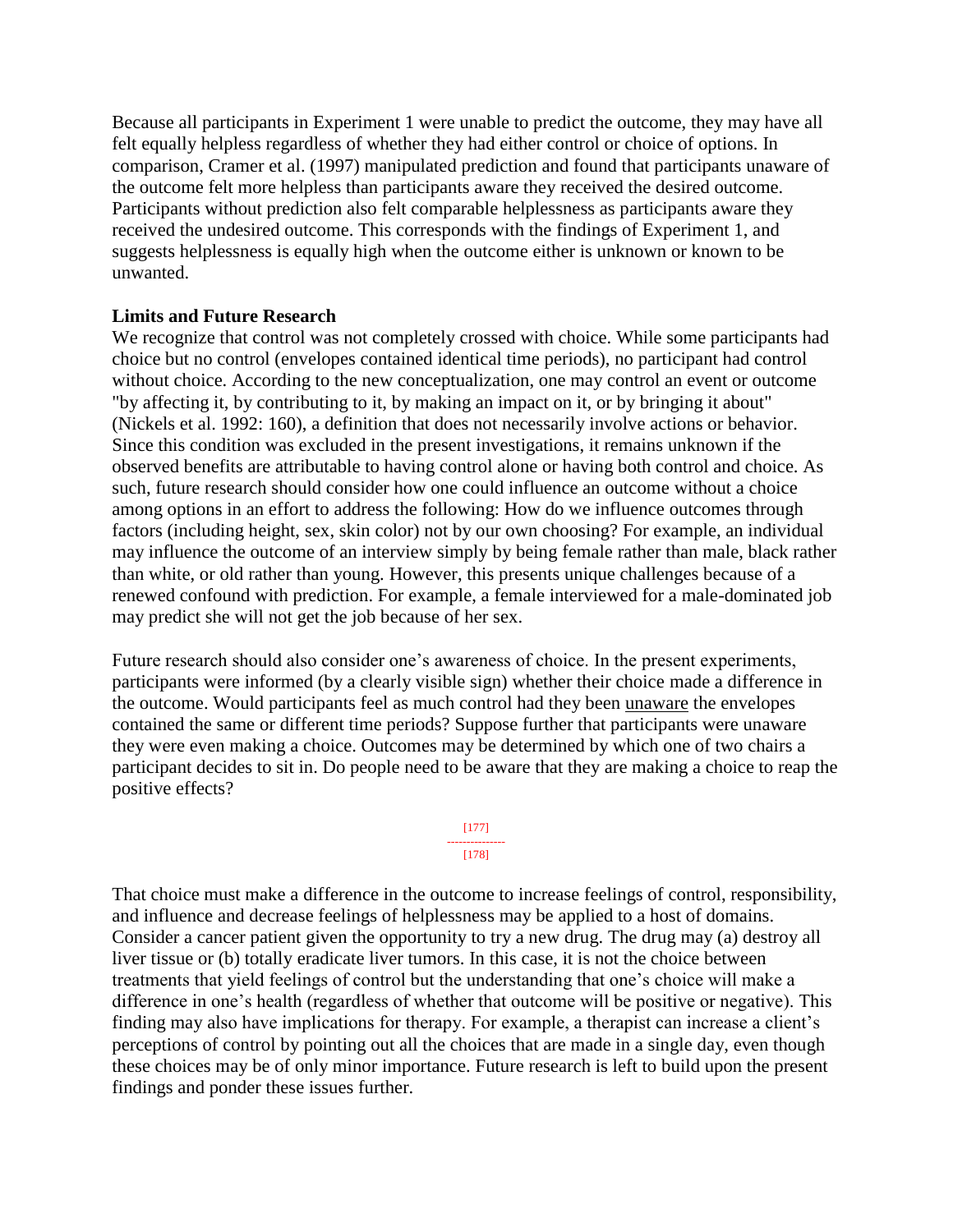Because all participants in Experiment 1 were unable to predict the outcome, they may have all felt equally helpless regardless of whether they had either control or choice of options. In comparison, Cramer et al. (1997) manipulated prediction and found that participants unaware of the outcome felt more helpless than participants aware they received the desired outcome. Participants without prediction also felt comparable helplessness as participants aware they received the undesired outcome. This corresponds with the findings of Experiment 1, and suggests helplessness is equally high when the outcome either is unknown or known to be unwanted.

#### **Limits and Future Research**

We recognize that control was not completely crossed with choice. While some participants had choice but no control (envelopes contained identical time periods), no participant had control without choice. According to the new conceptualization, one may control an event or outcome "by affecting it, by contributing to it, by making an impact on it, or by bringing it about" (Nickels et al. 1992: 160), a definition that does not necessarily involve actions or behavior. Since this condition was excluded in the present investigations, it remains unknown if the observed benefits are attributable to having control alone or having both control and choice. As such, future research should consider how one could influence an outcome without a choice among options in an effort to address the following: How do we influence outcomes through factors (including height, sex, skin color) not by our own choosing? For example, an individual may influence the outcome of an interview simply by being female rather than male, black rather than white, or old rather than young. However, this presents unique challenges because of a renewed confound with prediction. For example, a female interviewed for a male-dominated job may predict she will not get the job because of her sex.

Future research should also consider one's awareness of choice. In the present experiments, participants were informed (by a clearly visible sign) whether their choice made a difference in the outcome. Would participants feel as much control had they been unaware the envelopes contained the same or different time periods? Suppose further that participants were unaware they were even making a choice. Outcomes may be determined by which one of two chairs a participant decides to sit in. Do people need to be aware that they are making a choice to reap the positive effects?



That choice must make a difference in the outcome to increase feelings of control, responsibility, and influence and decrease feelings of helplessness may be applied to a host of domains. Consider a cancer patient given the opportunity to try a new drug. The drug may (a) destroy all liver tissue or (b) totally eradicate liver tumors. In this case, it is not the choice between treatments that yield feelings of control but the understanding that one's choice will make a difference in one's health (regardless of whether that outcome will be positive or negative). This finding may also have implications for therapy. For example, a therapist can increase a client's perceptions of control by pointing out all the choices that are made in a single day, even though these choices may be of only minor importance. Future research is left to build upon the present findings and ponder these issues further.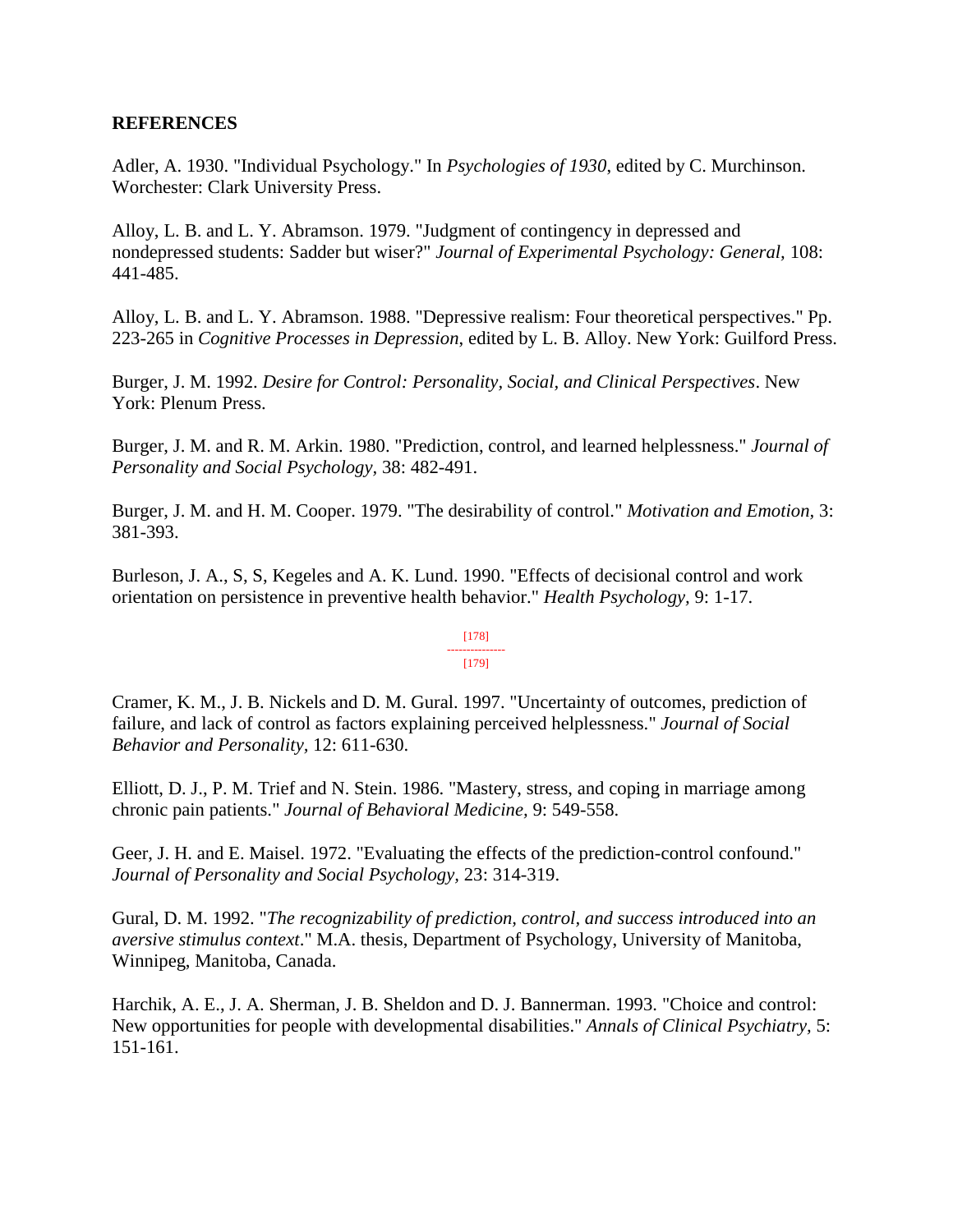#### **REFERENCES**

Adler, A. 1930. "Individual Psychology." In *Psychologies of 1930*, edited by C. Murchinson. Worchester: Clark University Press.

Alloy, L. B. and L. Y. Abramson. 1979. "Judgment of contingency in depressed and nondepressed students: Sadder but wiser?" *Journal of Experimental Psychology: General,* 108: 441-485.

Alloy, L. B. and L. Y. Abramson. 1988. "Depressive realism: Four theoretical perspectives." Pp. 223-265 in *Cognitive Processes in Depression*, edited by L. B. Alloy. New York: Guilford Press.

Burger, J. M. 1992. *Desire for Control: Personality, Social, and Clinical Perspectives*. New York: Plenum Press.

Burger, J. M. and R. M. Arkin. 1980. "Prediction, control, and learned helplessness." *Journal of Personality and Social Psychology,* 38: 482-491.

Burger, J. M. and H. M. Cooper. 1979. "The desirability of control." *Motivation and Emotion,* 3: 381-393.

Burleson, J. A., S, S, Kegeles and A. K. Lund. 1990. "Effects of decisional control and work orientation on persistence in preventive health behavior." *Health Psychology,* 9: 1-17.

#### [178] --------------- [179]

Cramer, K. M., J. B. Nickels and D. M. Gural. 1997. "Uncertainty of outcomes, prediction of failure, and lack of control as factors explaining perceived helplessness." *Journal of Social Behavior and Personality,* 12: 611-630.

Elliott, D. J., P. M. Trief and N. Stein. 1986. "Mastery, stress, and coping in marriage among chronic pain patients." *Journal of Behavioral Medicine,* 9: 549-558.

Geer, J. H. and E. Maisel. 1972. "Evaluating the effects of the prediction-control confound." *Journal of Personality and Social Psychology,* 23: 314-319.

Gural, D. M. 1992. "*The recognizability of prediction, control, and success introduced into an aversive stimulus context*." M.A. thesis, Department of Psychology, University of Manitoba, Winnipeg, Manitoba, Canada.

Harchik, A. E., J. A. Sherman, J. B. Sheldon and D. J. Bannerman. 1993. "Choice and control: New opportunities for people with developmental disabilities." *Annals of Clinical Psychiatry,* 5: 151-161.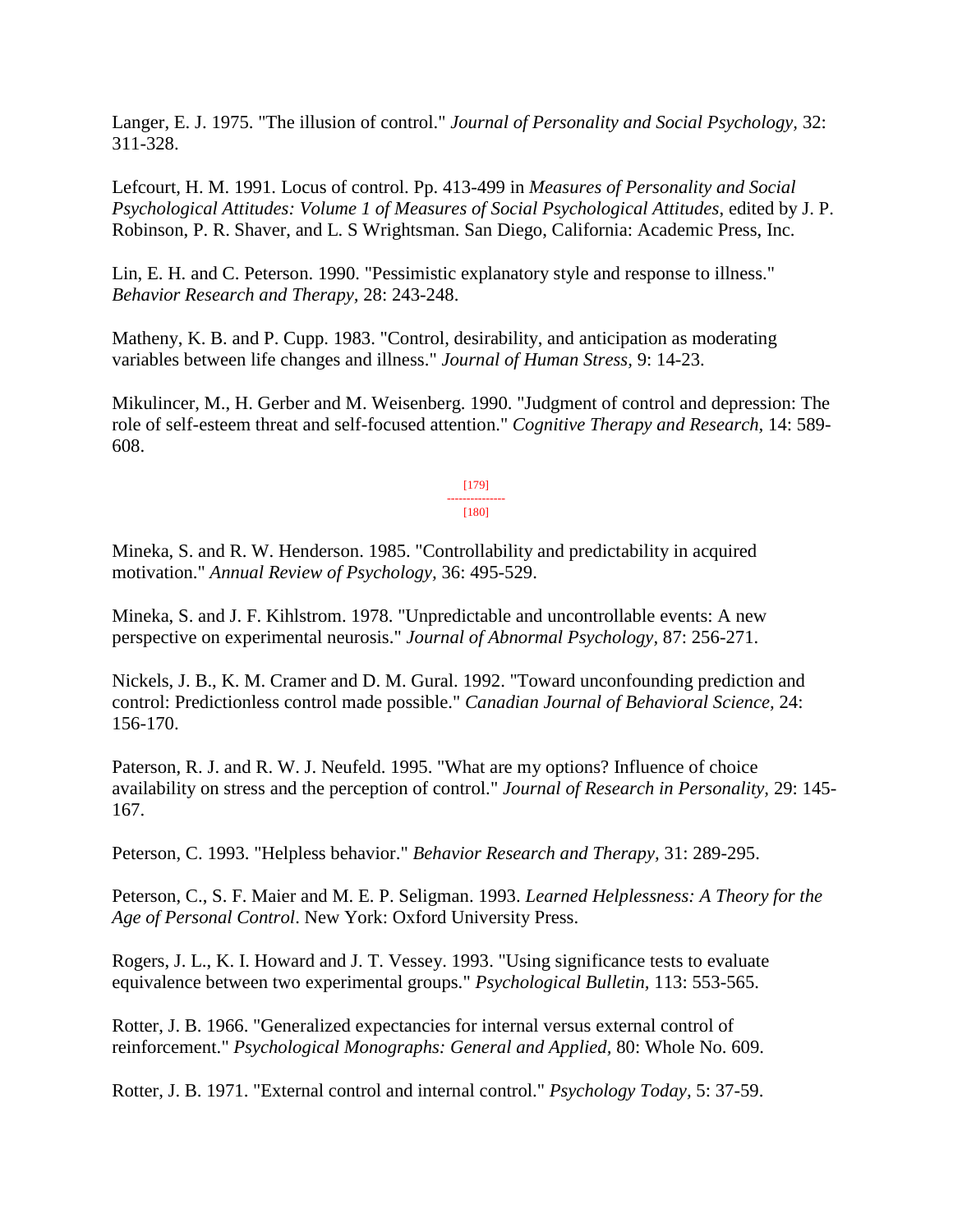Langer, E. J. 1975. "The illusion of control." *Journal of Personality and Social Psychology,* 32: 311-328.

Lefcourt, H. M. 1991. Locus of control. Pp. 413-499 in *Measures of Personality and Social Psychological Attitudes: Volume 1 of Measures of Social Psychological Attitudes*, edited by J. P. Robinson, P. R. Shaver, and L. S Wrightsman. San Diego, California: Academic Press, Inc.

Lin, E. H. and C. Peterson. 1990. "Pessimistic explanatory style and response to illness." *Behavior Research and Therapy,* 28: 243-248.

Matheny, K. B. and P. Cupp. 1983. "Control, desirability, and anticipation as moderating variables between life changes and illness." *Journal of Human Stress,* 9: 14-23.

Mikulincer, M., H. Gerber and M. Weisenberg. 1990. "Judgment of control and depression: The role of self-esteem threat and self-focused attention." *Cognitive Therapy and Research,* 14: 589- 608.

> [179] --------------- [180]

Mineka, S. and R. W. Henderson. 1985. "Controllability and predictability in acquired motivation." *Annual Review of Psychology,* 36: 495-529.

Mineka, S. and J. F. Kihlstrom. 1978. "Unpredictable and uncontrollable events: A new perspective on experimental neurosis." *Journal of Abnormal Psychology,* 87: 256-271.

Nickels, J. B., K. M. Cramer and D. M. Gural. 1992. "Toward unconfounding prediction and control: Predictionless control made possible." *Canadian Journal of Behavioral Science,* 24: 156-170.

Paterson, R. J. and R. W. J. Neufeld. 1995. "What are my options? Influence of choice availability on stress and the perception of control." *Journal of Research in Personality,* 29: 145- 167.

Peterson, C. 1993. "Helpless behavior." *Behavior Research and Therapy,* 31: 289-295.

Peterson, C., S. F. Maier and M. E. P. Seligman. 1993. *Learned Helplessness: A Theory for the Age of Personal Control*. New York: Oxford University Press.

Rogers, J. L., K. I. Howard and J. T. Vessey. 1993. "Using significance tests to evaluate equivalence between two experimental groups." *Psychological Bulletin,* 113: 553-565.

Rotter, J. B. 1966. "Generalized expectancies for internal versus external control of reinforcement." *Psychological Monographs: General and Applied,* 80: Whole No. 609.

Rotter, J. B. 1971. "External control and internal control." *Psychology Today,* 5: 37-59.